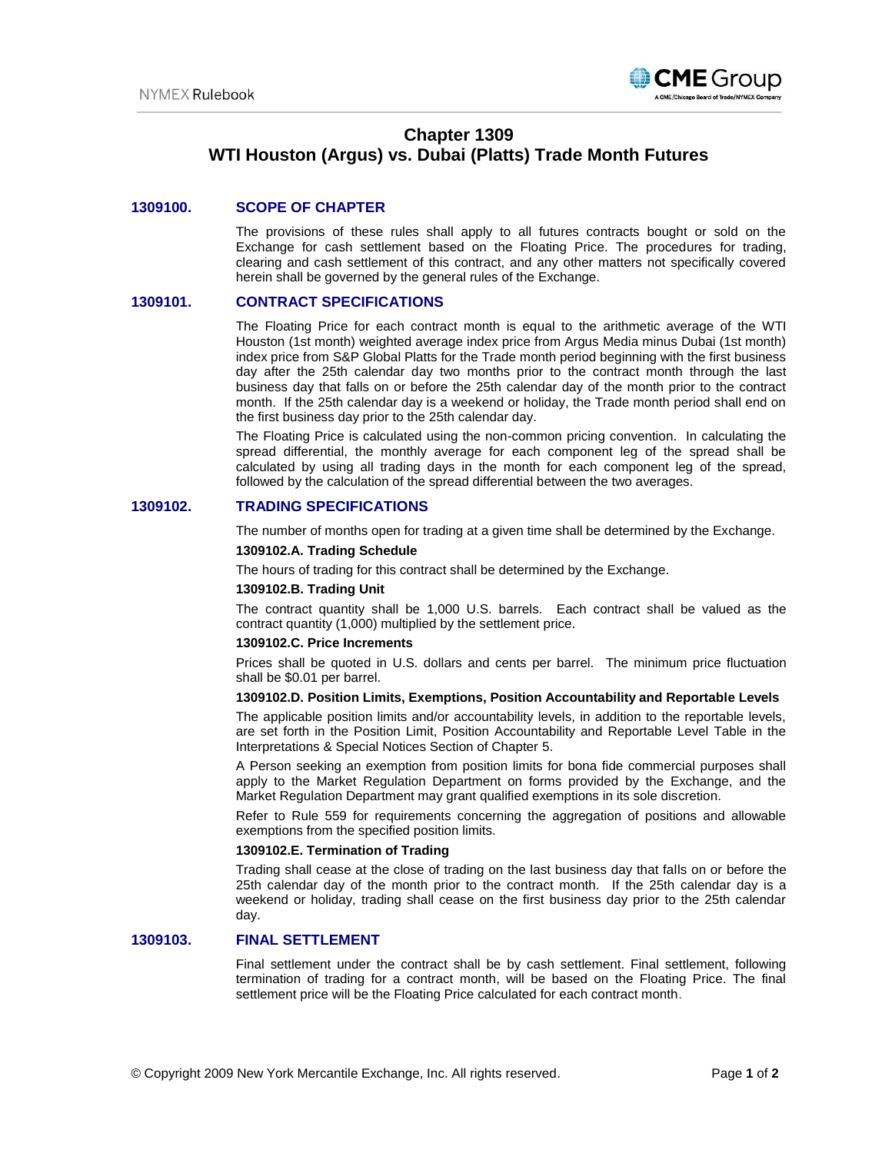

# **Chapter 1309 WTI Houston (Argus) vs. Dubai (Platts) Trade Month Futures**

## **1309100. SCOPE OF CHAPTER**

The provisions of these rules shall apply to all futures contracts bought or sold on the Exchange for cash settlement based on the Floating Price. The procedures for trading, clearing and cash settlement of this contract, and any other matters not specifically covered herein shall be governed by the general rules of the Exchange.

# **1309101. CONTRACT SPECIFICATIONS**

The Floating Price for each contract month is equal to the arithmetic average of the WTI Houston (1st month) weighted average index price from Argus Media minus Dubai (1st month) index price from S&P Global Platts for the Trade month period beginning with the first business day after the 25th calendar day two months prior to the contract month through the last business day that falls on or before the 25th calendar day of the month prior to the contract month. If the 25th calendar day is a weekend or holiday, the Trade month period shall end on the first business day prior to the 25th calendar day.

The Floating Price is calculated using the non-common pricing convention. In calculating the spread differential, the monthly average for each component leg of the spread shall be calculated by using all trading days in the month for each component leg of the spread, followed by the calculation of the spread differential between the two averages.

#### **1309102. TRADING SPECIFICATIONS**

The number of months open for trading at a given time shall be determined by the Exchange. **1309102.A. Trading Schedule**

The hours of trading for this contract shall be determined by the Exchange.

#### **1309102.B. Trading Unit**

The contract quantity shall be 1,000 U.S. barrels. Each contract shall be valued as the contract quantity (1,000) multiplied by the settlement price.

#### **1309102.C. Price Increments**

Prices shall be quoted in U.S. dollars and cents per barrel. The minimum price fluctuation shall be \$0.01 per barrel.

## **1309102.D. Position Limits, Exemptions, Position Accountability and Reportable Levels**

The applicable position limits and/or accountability levels, in addition to the reportable levels, are set forth in the Position Limit, Position Accountability and Reportable Level Table in the Interpretations & Special Notices Section of Chapter 5.

A Person seeking an exemption from position limits for bona fide commercial purposes shall apply to the Market Regulation Department on forms provided by the Exchange, and the Market Regulation Department may grant qualified exemptions in its sole discretion.

Refer to Rule 559 for requirements concerning the aggregation of positions and allowable exemptions from the specified position limits.

#### **1309102.E. Termination of Trading**

Trading shall cease at the close of trading on the last business day that falls on or before the 25th calendar day of the month prior to the contract month. If the 25th calendar day is a weekend or holiday, trading shall cease on the first business day prior to the 25th calendar day.

### **1309103. FINAL SETTLEMENT**

Final settlement under the contract shall be by cash settlement. Final settlement, following termination of trading for a contract month, will be based on the Floating Price. The final settlement price will be the Floating Price calculated for each contract month.